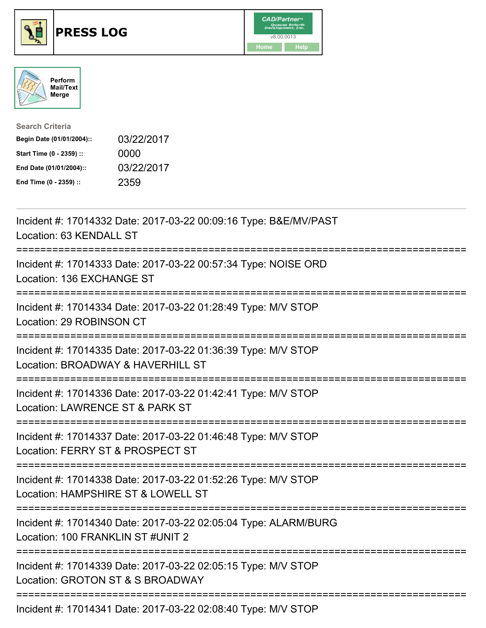





| <b>Search Criteria</b>    |            |
|---------------------------|------------|
| Begin Date (01/01/2004):: | 03/22/2017 |
| Start Time (0 - 2359) ::  | 0000       |
| End Date (01/01/2004)::   | 03/22/2017 |
| End Time (0 - 2359) ::    | 2359       |

| Incident #: 17014332 Date: 2017-03-22 00:09:16 Type: B&E/MV/PAST<br>Location: 63 KENDALL ST                                                                                                                                                                                                                                                                                                                                                                                                |
|--------------------------------------------------------------------------------------------------------------------------------------------------------------------------------------------------------------------------------------------------------------------------------------------------------------------------------------------------------------------------------------------------------------------------------------------------------------------------------------------|
| Incident #: 17014333 Date: 2017-03-22 00:57:34 Type: NOISE ORD<br>Location: 136 EXCHANGE ST                                                                                                                                                                                                                                                                                                                                                                                                |
| Incident #: 17014334 Date: 2017-03-22 01:28:49 Type: M/V STOP<br>Location: 29 ROBINSON CT<br>------------------                                                                                                                                                                                                                                                                                                                                                                            |
| Incident #: 17014335 Date: 2017-03-22 01:36:39 Type: M/V STOP<br>Location: BROADWAY & HAVERHILL ST                                                                                                                                                                                                                                                                                                                                                                                         |
| Incident #: 17014336 Date: 2017-03-22 01:42:41 Type: M/V STOP<br>Location: LAWRENCE ST & PARK ST                                                                                                                                                                                                                                                                                                                                                                                           |
| Incident #: 17014337 Date: 2017-03-22 01:46:48 Type: M/V STOP<br>Location: FERRY ST & PROSPECT ST                                                                                                                                                                                                                                                                                                                                                                                          |
| Incident #: 17014338 Date: 2017-03-22 01:52:26 Type: M/V STOP<br>Location: HAMPSHIRE ST & LOWELL ST<br>:========================                                                                                                                                                                                                                                                                                                                                                           |
| Incident #: 17014340 Date: 2017-03-22 02:05:04 Type: ALARM/BURG<br>Location: 100 FRANKLIN ST #UNIT 2                                                                                                                                                                                                                                                                                                                                                                                       |
| Incident #: 17014339 Date: 2017-03-22 02:05:15 Type: M/V STOP<br>Location: GROTON ST & S BROADWAY                                                                                                                                                                                                                                                                                                                                                                                          |
| $\blacksquare$ $\blacksquare$ $\blacksquare$ $\blacksquare$ $\blacksquare$ $\blacksquare$ $\blacksquare$ $\blacksquare$ $\blacksquare$ $\blacksquare$ $\blacksquare$ $\blacksquare$ $\blacksquare$ $\blacksquare$ $\blacksquare$ $\blacksquare$ $\blacksquare$ $\blacksquare$ $\blacksquare$ $\blacksquare$ $\blacksquare$ $\blacksquare$ $\blacksquare$ $\blacksquare$ $\blacksquare$ $\blacksquare$ $\blacksquare$ $\blacksquare$ $\blacksquare$ $\blacksquare$ $\blacksquare$ $\blacks$ |

Incident #: 17014341 Date: 2017-03-22 02:08:40 Type: M/V STOP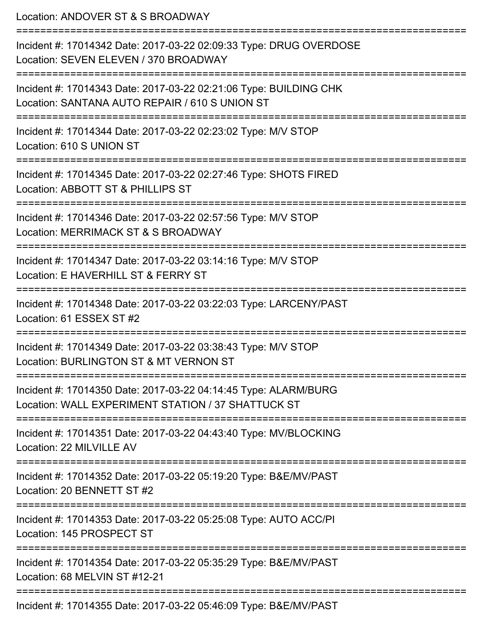Location: ANDOVER ST & S BROADWAY =========================================================================== Incident #: 17014342 Date: 2017-03-22 02:09:33 Type: DRUG OVERDOSE Location: SEVEN ELEVEN / 370 BROADWAY =========================================================================== Incident #: 17014343 Date: 2017-03-22 02:21:06 Type: BUILDING CHK Location: SANTANA AUTO REPAIR / 610 S UNION ST =========================================================================== Incident #: 17014344 Date: 2017-03-22 02:23:02 Type: M/V STOP Location: 610 S UNION ST =========================================================================== Incident #: 17014345 Date: 2017-03-22 02:27:46 Type: SHOTS FIRED Location: ABBOTT ST & PHILLIPS ST =========================================================================== Incident #: 17014346 Date: 2017-03-22 02:57:56 Type: M/V STOP Location: MERRIMACK ST & S BROADWAY =========================================================================== Incident #: 17014347 Date: 2017-03-22 03:14:16 Type: M/V STOP Location: E HAVERHILL ST & FERRY ST =========================================================================== Incident #: 17014348 Date: 2017-03-22 03:22:03 Type: LARCENY/PAST Location: 61 ESSEX ST #2 =========================================================================== Incident #: 17014349 Date: 2017-03-22 03:38:43 Type: M/V STOP Location: BURLINGTON ST & MT VERNON ST =========================================================================== Incident #: 17014350 Date: 2017-03-22 04:14:45 Type: ALARM/BURG Location: WALL EXPERIMENT STATION / 37 SHATTUCK ST =========================================================================== Incident #: 17014351 Date: 2017-03-22 04:43:40 Type: MV/BLOCKING Location: 22 MILVILLE AV =========================================================================== Incident #: 17014352 Date: 2017-03-22 05:19:20 Type: B&E/MV/PAST Location: 20 BENNETT ST #2 =========================================================================== Incident #: 17014353 Date: 2017-03-22 05:25:08 Type: AUTO ACC/PI Location: 145 PROSPECT ST =========================================================================== Incident #: 17014354 Date: 2017-03-22 05:35:29 Type: B&E/MV/PAST Location: 68 MELVIN ST #12-21 ===========================================================================

Incident #: 17014355 Date: 2017-03-22 05:46:09 Type: B&E/MV/PAST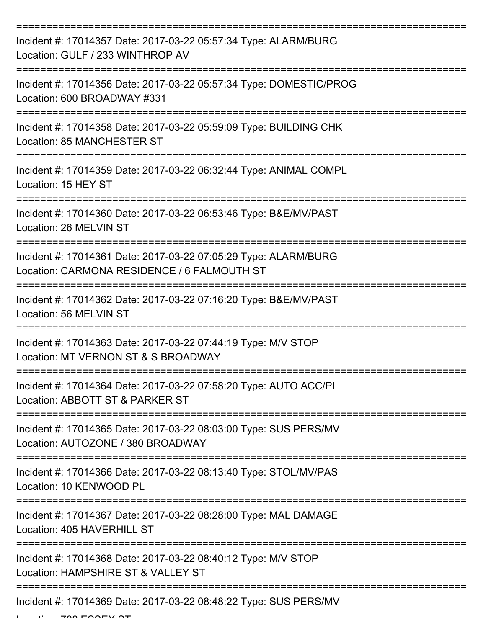| Incident #: 17014357 Date: 2017-03-22 05:57:34 Type: ALARM/BURG<br>Location: GULF / 233 WINTHROP AV            |
|----------------------------------------------------------------------------------------------------------------|
| Incident #: 17014356 Date: 2017-03-22 05:57:34 Type: DOMESTIC/PROG<br>Location: 600 BROADWAY #331              |
| Incident #: 17014358 Date: 2017-03-22 05:59:09 Type: BUILDING CHK<br>Location: 85 MANCHESTER ST                |
| Incident #: 17014359 Date: 2017-03-22 06:32:44 Type: ANIMAL COMPL<br>Location: 15 HEY ST                       |
| Incident #: 17014360 Date: 2017-03-22 06:53:46 Type: B&E/MV/PAST<br>Location: 26 MELVIN ST                     |
| Incident #: 17014361 Date: 2017-03-22 07:05:29 Type: ALARM/BURG<br>Location: CARMONA RESIDENCE / 6 FALMOUTH ST |
| Incident #: 17014362 Date: 2017-03-22 07:16:20 Type: B&E/MV/PAST<br>Location: 56 MELVIN ST                     |
| Incident #: 17014363 Date: 2017-03-22 07:44:19 Type: M/V STOP<br>Location: MT VERNON ST & S BROADWAY           |
| Incident #: 17014364 Date: 2017-03-22 07:58:20 Type: AUTO ACC/PI<br>Location: ABBOTT ST & PARKER ST            |
| Incident #: 17014365 Date: 2017-03-22 08:03:00 Type: SUS PERS/MV<br>Location: AUTOZONE / 380 BROADWAY          |
| Incident #: 17014366 Date: 2017-03-22 08:13:40 Type: STOL/MV/PAS<br>Location: 10 KENWOOD PL                    |
| Incident #: 17014367 Date: 2017-03-22 08:28:00 Type: MAL DAMAGE<br>Location: 405 HAVERHILL ST                  |
| Incident #: 17014368 Date: 2017-03-22 08:40:12 Type: M/V STOP<br>Location: HAMPSHIRE ST & VALLEY ST            |
| Incident #: 17014369 Date: 2017-03-22 08:48:22 Type: SUS PERS/MV                                               |

 $L$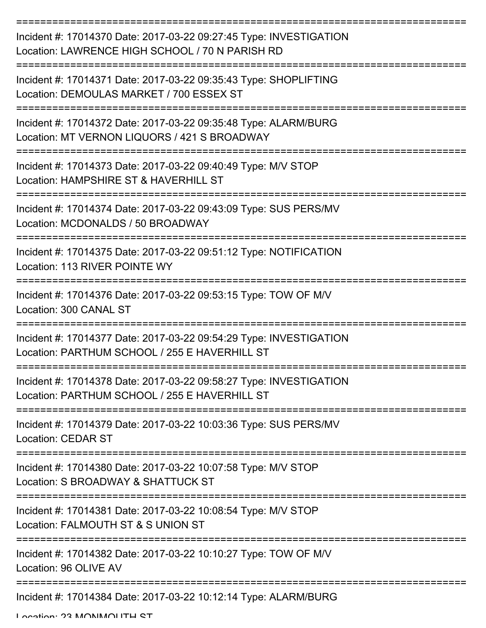| Incident #: 17014370 Date: 2017-03-22 09:27:45 Type: INVESTIGATION<br>Location: LAWRENCE HIGH SCHOOL / 70 N PARISH RD |
|-----------------------------------------------------------------------------------------------------------------------|
| Incident #: 17014371 Date: 2017-03-22 09:35:43 Type: SHOPLIFTING<br>Location: DEMOULAS MARKET / 700 ESSEX ST          |
| Incident #: 17014372 Date: 2017-03-22 09:35:48 Type: ALARM/BURG<br>Location: MT VERNON LIQUORS / 421 S BROADWAY       |
| Incident #: 17014373 Date: 2017-03-22 09:40:49 Type: M/V STOP<br>Location: HAMPSHIRE ST & HAVERHILL ST                |
| Incident #: 17014374 Date: 2017-03-22 09:43:09 Type: SUS PERS/MV<br>Location: MCDONALDS / 50 BROADWAY                 |
| Incident #: 17014375 Date: 2017-03-22 09:51:12 Type: NOTIFICATION<br>Location: 113 RIVER POINTE WY                    |
| Incident #: 17014376 Date: 2017-03-22 09:53:15 Type: TOW OF M/V<br>Location: 300 CANAL ST                             |
| Incident #: 17014377 Date: 2017-03-22 09:54:29 Type: INVESTIGATION<br>Location: PARTHUM SCHOOL / 255 E HAVERHILL ST   |
| Incident #: 17014378 Date: 2017-03-22 09:58:27 Type: INVESTIGATION<br>Location: PARTHUM SCHOOL / 255 E HAVERHILL ST   |
| Incident #: 17014379 Date: 2017-03-22 10:03:36 Type: SUS PERS/MV<br><b>Location: CEDAR ST</b>                         |
| Incident #: 17014380 Date: 2017-03-22 10:07:58 Type: M/V STOP<br>Location: S BROADWAY & SHATTUCK ST                   |
| Incident #: 17014381 Date: 2017-03-22 10:08:54 Type: M/V STOP<br>Location: FALMOUTH ST & S UNION ST                   |
| Incident #: 17014382 Date: 2017-03-22 10:10:27 Type: TOW OF M/V<br>Location: 96 OLIVE AV                              |
| Incident #: 17014384 Date: 2017-03-22 10:12:14 Type: ALARM/BURG                                                       |

Location: 23 MONMOUTH ST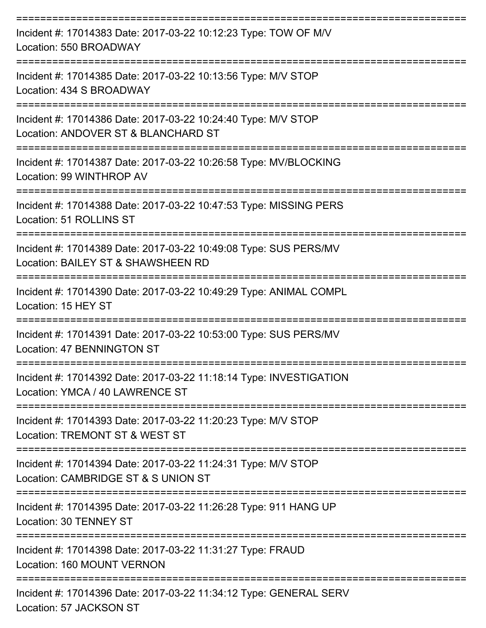| Incident #: 17014383 Date: 2017-03-22 10:12:23 Type: TOW OF M/V<br>Location: 550 BROADWAY              |
|--------------------------------------------------------------------------------------------------------|
| Incident #: 17014385 Date: 2017-03-22 10:13:56 Type: M/V STOP<br>Location: 434 S BROADWAY              |
| Incident #: 17014386 Date: 2017-03-22 10:24:40 Type: M/V STOP<br>Location: ANDOVER ST & BLANCHARD ST   |
| Incident #: 17014387 Date: 2017-03-22 10:26:58 Type: MV/BLOCKING<br>Location: 99 WINTHROP AV           |
| Incident #: 17014388 Date: 2017-03-22 10:47:53 Type: MISSING PERS<br>Location: 51 ROLLINS ST           |
| Incident #: 17014389 Date: 2017-03-22 10:49:08 Type: SUS PERS/MV<br>Location: BAILEY ST & SHAWSHEEN RD |
| Incident #: 17014390 Date: 2017-03-22 10:49:29 Type: ANIMAL COMPL<br>Location: 15 HEY ST               |
| Incident #: 17014391 Date: 2017-03-22 10:53:00 Type: SUS PERS/MV<br>Location: 47 BENNINGTON ST         |
| Incident #: 17014392 Date: 2017-03-22 11:18:14 Type: INVESTIGATION<br>Location: YMCA / 40 LAWRENCE ST  |
| Incident #: 17014393 Date: 2017-03-22 11:20:23 Type: M/V STOP<br>Location: TREMONT ST & WEST ST        |
| Incident #: 17014394 Date: 2017-03-22 11:24:31 Type: M/V STOP<br>Location: CAMBRIDGE ST & S UNION ST   |
| Incident #: 17014395 Date: 2017-03-22 11:26:28 Type: 911 HANG UP<br>Location: 30 TENNEY ST             |
| Incident #: 17014398 Date: 2017-03-22 11:31:27 Type: FRAUD<br>Location: 160 MOUNT VERNON               |
| Incident #: 17014396 Date: 2017-03-22 11:34:12 Type: GENERAL SERV<br>Location: 57 JACKSON ST           |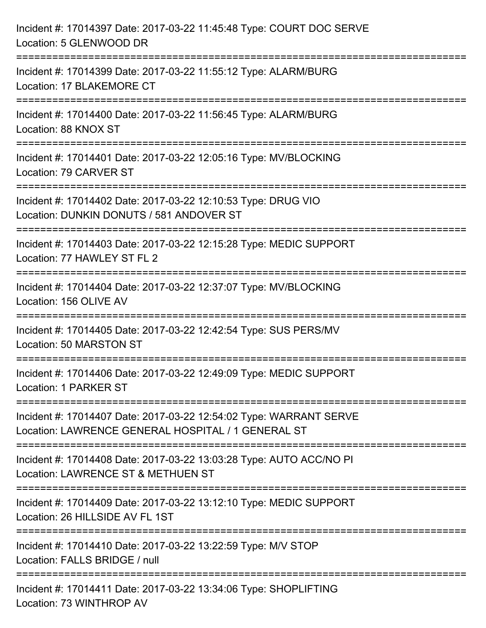| Incident #: 17014397 Date: 2017-03-22 11:45:48 Type: COURT DOC SERVE<br>Location: 5 GLENWOOD DR                                      |
|--------------------------------------------------------------------------------------------------------------------------------------|
| ===================================<br>Incident #: 17014399 Date: 2017-03-22 11:55:12 Type: ALARM/BURG<br>Location: 17 BLAKEMORE CT  |
| Incident #: 17014400 Date: 2017-03-22 11:56:45 Type: ALARM/BURG<br>Location: 88 KNOX ST<br>==================================        |
| Incident #: 17014401 Date: 2017-03-22 12:05:16 Type: MV/BLOCKING<br>Location: 79 CARVER ST<br>-------------------------------------- |
| Incident #: 17014402 Date: 2017-03-22 12:10:53 Type: DRUG VIO<br>Location: DUNKIN DONUTS / 581 ANDOVER ST                            |
| Incident #: 17014403 Date: 2017-03-22 12:15:28 Type: MEDIC SUPPORT<br>Location: 77 HAWLEY ST FL 2                                    |
| Incident #: 17014404 Date: 2017-03-22 12:37:07 Type: MV/BLOCKING<br>Location: 156 OLIVE AV                                           |
| Incident #: 17014405 Date: 2017-03-22 12:42:54 Type: SUS PERS/MV<br>Location: 50 MARSTON ST                                          |
| Incident #: 17014406 Date: 2017-03-22 12:49:09 Type: MEDIC SUPPORT<br>Location: 1 PARKER ST                                          |
| Incident #: 17014407 Date: 2017-03-22 12:54:02 Type: WARRANT SERVE<br>Location: LAWRENCE GENERAL HOSPITAL / 1 GENERAL ST             |
| Incident #: 17014408 Date: 2017-03-22 13:03:28 Type: AUTO ACC/NO PI<br>Location: LAWRENCE ST & METHUEN ST                            |
| Incident #: 17014409 Date: 2017-03-22 13:12:10 Type: MEDIC SUPPORT<br>Location: 26 HILLSIDE AV FL 1ST                                |
| Incident #: 17014410 Date: 2017-03-22 13:22:59 Type: M/V STOP<br>Location: FALLS BRIDGE / null                                       |
| Incident #: 17014411 Date: 2017-03-22 13:34:06 Type: SHOPLIFTING<br>Location: 73 WINTHROP AV                                         |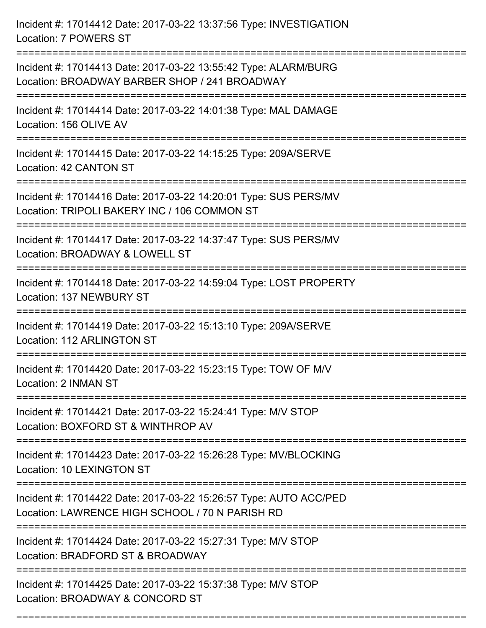Incident #: 17014412 Date: 2017-03-22 13:37:56 Type: INVESTIGATION Location: 7 POWERS ST =========================================================================== Incident #: 17014413 Date: 2017-03-22 13:55:42 Type: ALARM/BURG Location: BROADWAY BARBER SHOP / 241 BROADWAY =========================================================================== Incident #: 17014414 Date: 2017-03-22 14:01:38 Type: MAL DAMAGE Location: 156 OLIVE AV =========================================================================== Incident #: 17014415 Date: 2017-03-22 14:15:25 Type: 209A/SERVE Location: 42 CANTON ST =========================================================================== Incident #: 17014416 Date: 2017-03-22 14:20:01 Type: SUS PERS/MV Location: TRIPOLI BAKERY INC / 106 COMMON ST =========================================================================== Incident #: 17014417 Date: 2017-03-22 14:37:47 Type: SUS PERS/MV Location: BROADWAY & LOWELL ST =========================================================================== Incident #: 17014418 Date: 2017-03-22 14:59:04 Type: LOST PROPERTY Location: 137 NEWBURY ST =========================================================================== Incident #: 17014419 Date: 2017-03-22 15:13:10 Type: 209A/SERVE Location: 112 ARLINGTON ST =========================================================================== Incident #: 17014420 Date: 2017-03-22 15:23:15 Type: TOW OF M/V Location: 2 INMAN ST =========================================================================== Incident #: 17014421 Date: 2017-03-22 15:24:41 Type: M/V STOP Location: BOXFORD ST & WINTHROP AV =========================================================================== Incident #: 17014423 Date: 2017-03-22 15:26:28 Type: MV/BLOCKING Location: 10 LEXINGTON ST =========================================================================== Incident #: 17014422 Date: 2017-03-22 15:26:57 Type: AUTO ACC/PED Location: LAWRENCE HIGH SCHOOL / 70 N PARISH RD =========================================================================== Incident #: 17014424 Date: 2017-03-22 15:27:31 Type: M/V STOP Location: BRADFORD ST & BROADWAY =========================================================================== Incident #: 17014425 Date: 2017-03-22 15:37:38 Type: M/V STOP Location: BROADWAY & CONCORD ST

===========================================================================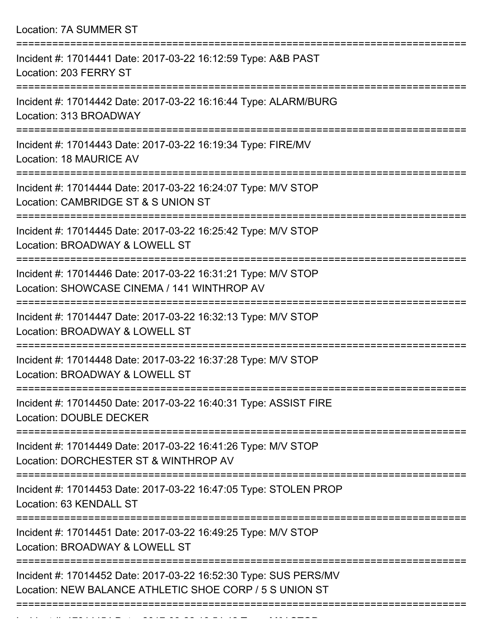| Location: 7A SUMMER ST                                                                                                                   |
|------------------------------------------------------------------------------------------------------------------------------------------|
| Incident #: 17014441 Date: 2017-03-22 16:12:59 Type: A&B PAST<br>Location: 203 FERRY ST                                                  |
| Incident #: 17014442 Date: 2017-03-22 16:16:44 Type: ALARM/BURG<br>Location: 313 BROADWAY<br>:==========================                 |
| Incident #: 17014443 Date: 2017-03-22 16:19:34 Type: FIRE/MV<br>Location: 18 MAURICE AV                                                  |
| Incident #: 17014444 Date: 2017-03-22 16:24:07 Type: M/V STOP<br>Location: CAMBRIDGE ST & S UNION ST<br>=======================          |
| Incident #: 17014445 Date: 2017-03-22 16:25:42 Type: M/V STOP<br>Location: BROADWAY & LOWELL ST<br>================                      |
| Incident #: 17014446 Date: 2017-03-22 16:31:21 Type: M/V STOP<br>Location: SHOWCASE CINEMA / 141 WINTHROP AV<br>======================== |
| Incident #: 17014447 Date: 2017-03-22 16:32:13 Type: M/V STOP<br>Location: BROADWAY & LOWELL ST                                          |
| Incident #: 17014448 Date: 2017-03-22 16:37:28 Type: M/V STOP<br>Location: BROADWAY & LOWELL ST                                          |
| Incident #: 17014450 Date: 2017-03-22 16:40:31 Type: ASSIST FIRE<br><b>Location: DOUBLE DECKER</b>                                       |
| Incident #: 17014449 Date: 2017-03-22 16:41:26 Type: M/V STOP<br>Location: DORCHESTER ST & WINTHROP AV                                   |
| Incident #: 17014453 Date: 2017-03-22 16:47:05 Type: STOLEN PROP<br>Location: 63 KENDALL ST                                              |
| Incident #: 17014451 Date: 2017-03-22 16:49:25 Type: M/V STOP<br>Location: BROADWAY & LOWELL ST                                          |
| Incident #: 17014452 Date: 2017-03-22 16:52:30 Type: SUS PERS/MV<br>Location: NEW BALANCE ATHLETIC SHOE CORP / 5 S UNION ST              |
|                                                                                                                                          |

Incident #: 17014454 Date: 2017 03 22 16:54:42 Type: M/V STOP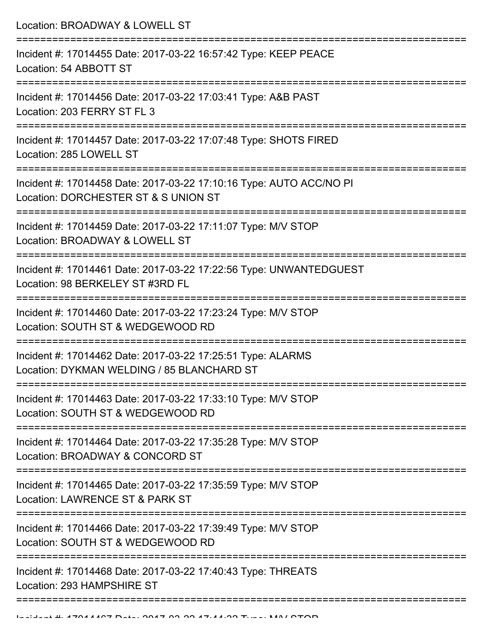Location: BROADWAY & LOWELL ST =========================================================================== Incident #: 17014455 Date: 2017-03-22 16:57:42 Type: KEEP PEACE Location: 54 ABBOTT ST =========================================================================== Incident #: 17014456 Date: 2017-03-22 17:03:41 Type: A&B PAST Location: 203 FERRY ST FL 3 =========================================================================== Incident #: 17014457 Date: 2017-03-22 17:07:48 Type: SHOTS FIRED Location: 285 LOWELL ST =========================================================================== Incident #: 17014458 Date: 2017-03-22 17:10:16 Type: AUTO ACC/NO PI Location: DORCHESTER ST & S UNION ST =========================================================================== Incident #: 17014459 Date: 2017-03-22 17:11:07 Type: M/V STOP Location: BROADWAY & LOWELL ST =========================================================================== Incident #: 17014461 Date: 2017-03-22 17:22:56 Type: UNWANTEDGUEST Location: 98 BERKELEY ST #3RD FL =========================================================================== Incident #: 17014460 Date: 2017-03-22 17:23:24 Type: M/V STOP Location: SOUTH ST & WEDGEWOOD RD =========================================================================== Incident #: 17014462 Date: 2017-03-22 17:25:51 Type: ALARMS Location: DYKMAN WELDING / 85 BLANCHARD ST =========================================================================== Incident #: 17014463 Date: 2017-03-22 17:33:10 Type: M/V STOP Location: SOUTH ST & WEDGEWOOD RD =========================================================================== Incident #: 17014464 Date: 2017-03-22 17:35:28 Type: M/V STOP Location: BROADWAY & CONCORD ST =========================================================================== Incident #: 17014465 Date: 2017-03-22 17:35:59 Type: M/V STOP Location: LAWRENCE ST & PARK ST =========================================================================== Incident #: 17014466 Date: 2017-03-22 17:39:49 Type: M/V STOP Location: SOUTH ST & WEDGEWOOD RD =========================================================================== Incident #: 17014468 Date: 2017-03-22 17:40:43 Type: THREATS Location: 293 HAMPSHIRE ST

===========================================================================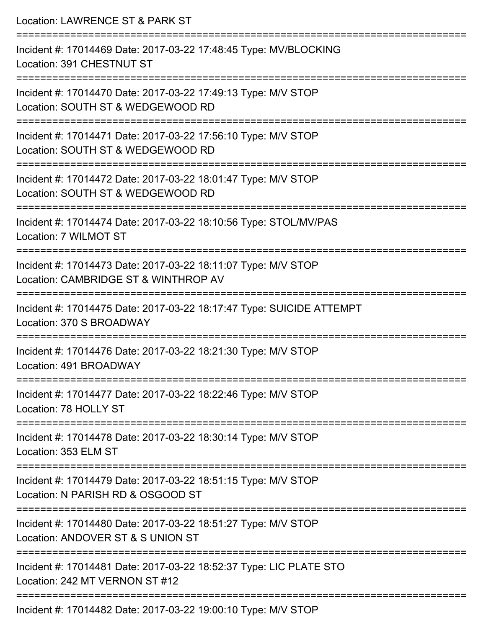| Location: LAWRENCE ST & PARK ST                                                                                                                                     |
|---------------------------------------------------------------------------------------------------------------------------------------------------------------------|
| Incident #: 17014469 Date: 2017-03-22 17:48:45 Type: MV/BLOCKING<br>Location: 391 CHESTNUT ST<br>:===============================                                   |
| Incident #: 17014470 Date: 2017-03-22 17:49:13 Type: M/V STOP<br>Location: SOUTH ST & WEDGEWOOD RD                                                                  |
| Incident #: 17014471 Date: 2017-03-22 17:56:10 Type: M/V STOP<br>Location: SOUTH ST & WEDGEWOOD RD                                                                  |
| =============================<br>Incident #: 17014472 Date: 2017-03-22 18:01:47 Type: M/V STOP<br>Location: SOUTH ST & WEDGEWOOD RD                                 |
| Incident #: 17014474 Date: 2017-03-22 18:10:56 Type: STOL/MV/PAS<br>Location: 7 WILMOT ST                                                                           |
| ================================<br>======================<br>Incident #: 17014473 Date: 2017-03-22 18:11:07 Type: M/V STOP<br>Location: CAMBRIDGE ST & WINTHROP AV |
| :=====================<br>Incident #: 17014475 Date: 2017-03-22 18:17:47 Type: SUICIDE ATTEMPT<br>Location: 370 S BROADWAY                                          |
| -----------------------<br>Incident #: 17014476 Date: 2017-03-22 18:21:30 Type: M/V STOP<br>Location: 491 BROADWAY                                                  |
| :================================<br>Incident #: 17014477 Date: 2017-03-22 18:22:46 Type: M/V STOP<br>Location: 78 HOLLY ST                                         |
| ===================<br>Incident #: 17014478 Date: 2017-03-22 18:30:14 Type: M/V STOP<br>Location: 353 ELM ST                                                        |
| Incident #: 17014479 Date: 2017-03-22 18:51:15 Type: M/V STOP<br>Location: N PARISH RD & OSGOOD ST                                                                  |
| Incident #: 17014480 Date: 2017-03-22 18:51:27 Type: M/V STOP<br>Location: ANDOVER ST & S UNION ST                                                                  |
| Incident #: 17014481 Date: 2017-03-22 18:52:37 Type: LIC PLATE STO<br>Location: 242 MT VERNON ST #12                                                                |
| Incident #: 17014482 Date: 2017-03-22 19:00:10 Type: M/V STOP                                                                                                       |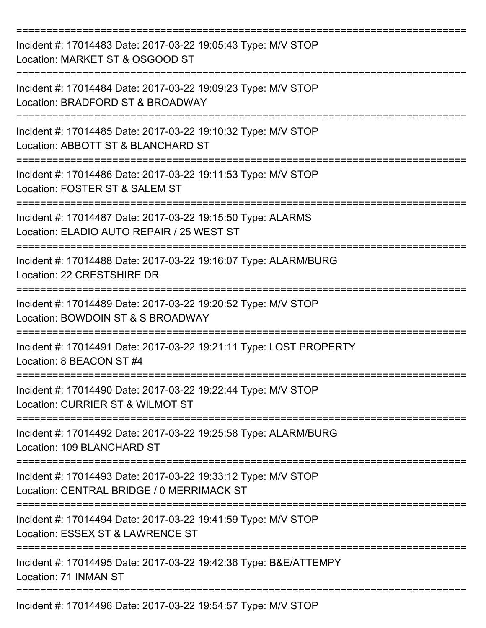| Incident #: 17014483 Date: 2017-03-22 19:05:43 Type: M/V STOP<br>Location: MARKET ST & OSGOOD ST           |
|------------------------------------------------------------------------------------------------------------|
| Incident #: 17014484 Date: 2017-03-22 19:09:23 Type: M/V STOP<br>Location: BRADFORD ST & BROADWAY          |
| Incident #: 17014485 Date: 2017-03-22 19:10:32 Type: M/V STOP<br>Location: ABBOTT ST & BLANCHARD ST        |
| Incident #: 17014486 Date: 2017-03-22 19:11:53 Type: M/V STOP<br>Location: FOSTER ST & SALEM ST            |
| Incident #: 17014487 Date: 2017-03-22 19:15:50 Type: ALARMS<br>Location: ELADIO AUTO REPAIR / 25 WEST ST   |
| Incident #: 17014488 Date: 2017-03-22 19:16:07 Type: ALARM/BURG<br>Location: 22 CRESTSHIRE DR              |
| Incident #: 17014489 Date: 2017-03-22 19:20:52 Type: M/V STOP<br>Location: BOWDOIN ST & S BROADWAY         |
| Incident #: 17014491 Date: 2017-03-22 19:21:11 Type: LOST PROPERTY<br>Location: 8 BEACON ST #4             |
| Incident #: 17014490 Date: 2017-03-22 19:22:44 Type: M/V STOP<br>Location: CURRIER ST & WILMOT ST          |
| Incident #: 17014492 Date: 2017-03-22 19:25:58 Type: ALARM/BURG<br>Location: 109 BLANCHARD ST              |
| Incident #: 17014493 Date: 2017-03-22 19:33:12 Type: M/V STOP<br>Location: CENTRAL BRIDGE / 0 MERRIMACK ST |
| Incident #: 17014494 Date: 2017-03-22 19:41:59 Type: M/V STOP<br>Location: ESSEX ST & LAWRENCE ST          |
| Incident #: 17014495 Date: 2017-03-22 19:42:36 Type: B&E/ATTEMPY<br>Location: 71 INMAN ST                  |
| Incident #: 17014496 Date: 2017-03-22 19:54:57 Type: M/V STOP                                              |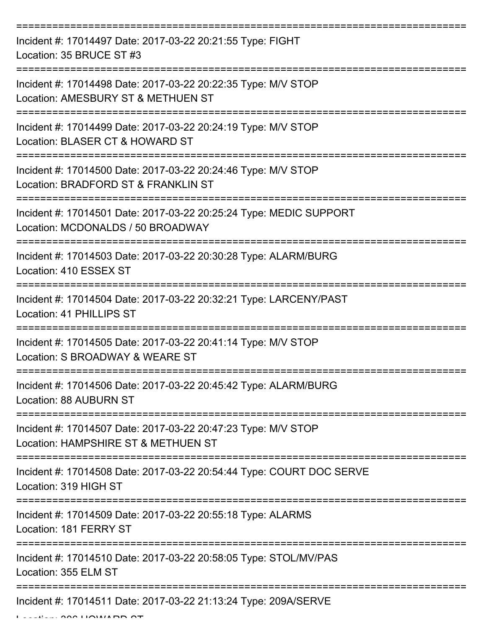| Incident #: 17014497 Date: 2017-03-22 20:21:55 Type: FIGHT<br>Location: 35 BRUCE ST #3                  |
|---------------------------------------------------------------------------------------------------------|
| Incident #: 17014498 Date: 2017-03-22 20:22:35 Type: M/V STOP<br>Location: AMESBURY ST & METHUEN ST     |
| Incident #: 17014499 Date: 2017-03-22 20:24:19 Type: M/V STOP<br>Location: BLASER CT & HOWARD ST        |
| Incident #: 17014500 Date: 2017-03-22 20:24:46 Type: M/V STOP<br>Location: BRADFORD ST & FRANKLIN ST    |
| Incident #: 17014501 Date: 2017-03-22 20:25:24 Type: MEDIC SUPPORT<br>Location: MCDONALDS / 50 BROADWAY |
| Incident #: 17014503 Date: 2017-03-22 20:30:28 Type: ALARM/BURG<br>Location: 410 ESSEX ST               |
| Incident #: 17014504 Date: 2017-03-22 20:32:21 Type: LARCENY/PAST<br>Location: 41 PHILLIPS ST           |
| Incident #: 17014505 Date: 2017-03-22 20:41:14 Type: M/V STOP<br>Location: S BROADWAY & WEARE ST        |
| Incident #: 17014506 Date: 2017-03-22 20:45:42 Type: ALARM/BURG<br>Location: 88 AUBURN ST               |
| Incident #: 17014507 Date: 2017-03-22 20:47:23 Type: M/V STOP<br>Location: HAMPSHIRE ST & METHUEN ST    |
| Incident #: 17014508 Date: 2017-03-22 20:54:44 Type: COURT DOC SERVE<br>Location: 319 HIGH ST           |
| Incident #: 17014509 Date: 2017-03-22 20:55:18 Type: ALARMS<br>Location: 181 FERRY ST                   |
| Incident #: 17014510 Date: 2017-03-22 20:58:05 Type: STOL/MV/PAS<br>Location: 355 ELM ST                |
| Incident #: 17014511 Date: 2017-03-22 21:13:24 Type: 209A/SERVE                                         |

 $L = L$ .  $L = 306$  HOWARD ST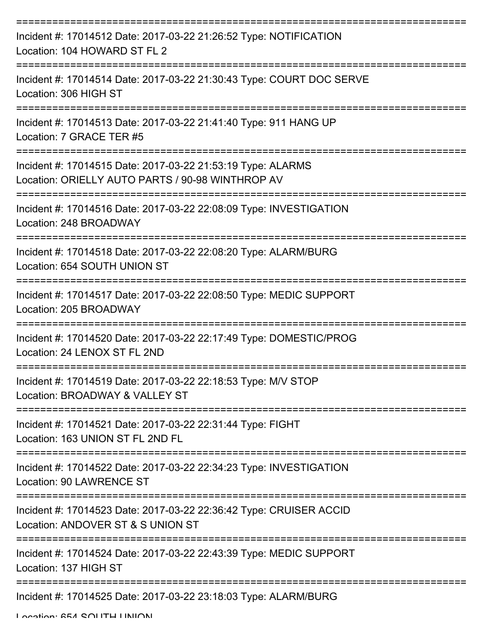| Incident #: 17014512 Date: 2017-03-22 21:26:52 Type: NOTIFICATION<br>Location: 104 HOWARD ST FL 2               |
|-----------------------------------------------------------------------------------------------------------------|
| Incident #: 17014514 Date: 2017-03-22 21:30:43 Type: COURT DOC SERVE<br>Location: 306 HIGH ST                   |
| Incident #: 17014513 Date: 2017-03-22 21:41:40 Type: 911 HANG UP<br>Location: 7 GRACE TER #5                    |
| Incident #: 17014515 Date: 2017-03-22 21:53:19 Type: ALARMS<br>Location: ORIELLY AUTO PARTS / 90-98 WINTHROP AV |
| Incident #: 17014516 Date: 2017-03-22 22:08:09 Type: INVESTIGATION<br>Location: 248 BROADWAY                    |
| Incident #: 17014518 Date: 2017-03-22 22:08:20 Type: ALARM/BURG<br>Location: 654 SOUTH UNION ST                 |
| =============<br>Incident #: 17014517 Date: 2017-03-22 22:08:50 Type: MEDIC SUPPORT<br>Location: 205 BROADWAY   |
| Incident #: 17014520 Date: 2017-03-22 22:17:49 Type: DOMESTIC/PROG<br>Location: 24 LENOX ST FL 2ND              |
| Incident #: 17014519 Date: 2017-03-22 22:18:53 Type: M/V STOP<br>Location: BROADWAY & VALLEY ST                 |
| Incident #: 17014521 Date: 2017-03-22 22:31:44 Type: FIGHT<br>Location: 163 UNION ST FL 2ND FL                  |
| Incident #: 17014522 Date: 2017-03-22 22:34:23 Type: INVESTIGATION<br><b>Location: 90 LAWRENCE ST</b>           |
| Incident #: 17014523 Date: 2017-03-22 22:36:42 Type: CRUISER ACCID<br>Location: ANDOVER ST & S UNION ST         |
| Incident #: 17014524 Date: 2017-03-22 22:43:39 Type: MEDIC SUPPORT<br>Location: 137 HIGH ST                     |
| Incident #: 17014525 Date: 2017-03-22 23:18:03 Type: ALARM/BURG                                                 |